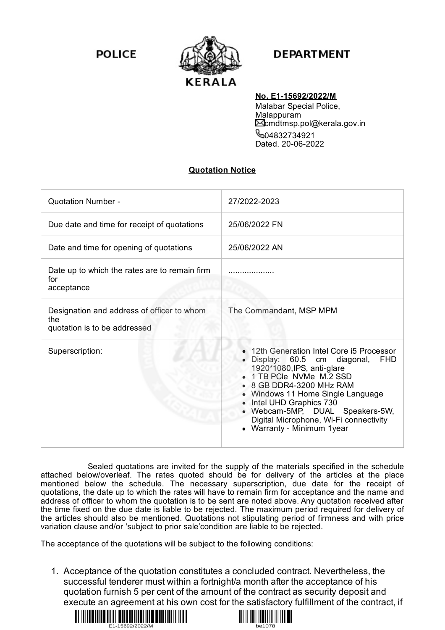**POLICE** 



## **DEPARTMENT**

## **No. E1-15692/2022/M**

Malabar Special Police, Malappuram cmdtmsp.pol@kerala.gov.in **604832734921** Dated. 20-06-2022

## **Quotation Notice**

| <b>Quotation Number -</b>                                                         | 27/2022-2023                                                                                                                                                                                                                                                                                                                                           |
|-----------------------------------------------------------------------------------|--------------------------------------------------------------------------------------------------------------------------------------------------------------------------------------------------------------------------------------------------------------------------------------------------------------------------------------------------------|
| Due date and time for receipt of quotations                                       | 25/06/2022 FN                                                                                                                                                                                                                                                                                                                                          |
| Date and time for opening of quotations                                           | 25/06/2022 AN                                                                                                                                                                                                                                                                                                                                          |
| Date up to which the rates are to remain firm<br>for<br>acceptance                |                                                                                                                                                                                                                                                                                                                                                        |
| Designation and address of officer to whom<br>the<br>quotation is to be addressed | The Commandant, MSP MPM                                                                                                                                                                                                                                                                                                                                |
| Superscription:                                                                   | 12th Generation Intel Core i5 Processor<br>Display: 60.5 cm diagonal,<br><b>FHD</b><br>1920*1080, IPS, anti-glare<br>1 TB PCIe NVMe M.2 SSD<br>8 GB DDR4-3200 MHz RAM<br>Windows 11 Home Single Language<br>Intel UHD Graphics 730<br>$\bullet$<br>Webcam-5MP, DUAL Speakers-5W,<br>Digital Microphone, Wi-Fi connectivity<br>Warranty - Minimum 1year |

Sealed quotations are invited for the supply of the materials specified in the schedule attached below/overleaf. The rates quoted should be for delivery of the articles at the place mentioned below the schedule. The necessary superscription, due date for the receipt of quotations, the date up to which the rates will have to remain firm for acceptance and the name and address of officer to whom the quotation is to be sent are noted above. Any quotation received after the time fixed on the due date is liable to be rejected. The maximum period required for delivery of the articles should also be mentioned. Quotations not stipulating period of firmness and with price variation clause and/or 'subject to prior sale'condition are liable to be rejected.

The acceptance of the quotations will be subject to the following conditions:

1. Acceptance of the quotation constitutes a concluded contract. Nevertheless, the successful tenderer must within a fortnight/a month after the acceptance of his quotation furnish 5 per cent of the amount of the contract as security deposit and execute an agreement at his own cost for the satisfactory fulfillment of the contract, if



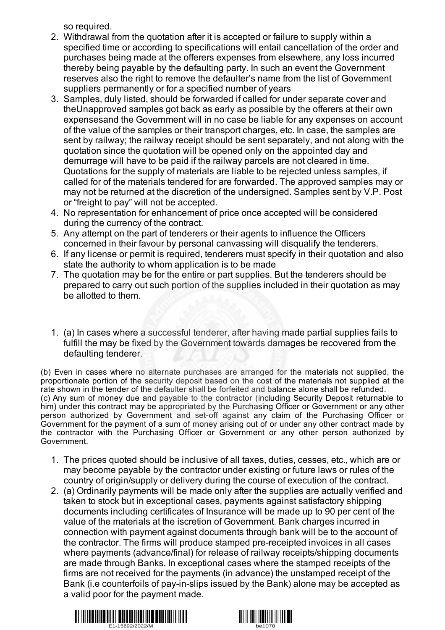so required.

- 2. Withdrawal from the quotation after it is accepted or failure to supply within a specified time or according to specifications will entail cancellation of the order and purchases being made at the offerers expenses from elsewhere, any loss incurred thereby being payable by the defaulting party. In such an event the Government reserves also the right to remove the defaulter's name from the list of Government suppliers permanently or for a specified number of years
- 3. Samples, duly listed, should be forwarded if called for under separate cover and theUnapproved samples got back as early as possible by the offerers at their own expensesand the Government will in no case be liable for any expenses on account of the value of the samples or their transport charges, etc. In case, the samples are sent by railway; the railway receipt should be sent separately, and not along with the quotation since the quotation will be opened only on the appointed day and demurrage will have to be paid if the railway parcels are not cleared in time. Quotations for the supply of materials are liable to be rejected unless samples, if called for of the materials tendered for are forwarded. The approved samples may or may not be returned at the discretion of the undersigned. Samples sent by V.P. Post or "freight to pay" will not be accepted.
- 4. No representation for enhancement of price once accepted will be considered during the currency of the contract.
- 5. Any attempt on the part of tenderers or their agents to influence the Officers concerned in their favour by personal canvassing will disqualify the tenderers.
- 6. If any license or permit is required, tenderers must specify in their quotation and also state the authority to whom application is to be made
- 7. The quotation may be for the entire or part supplies. But the tenderers should be prepared to carry out such portion of the supplies included in their quotation as may be allotted to them.
- 1. (a) In cases where a successful tenderer, after having made partial supplies fails to fulfill the may be fixed by the Government towards damages be recovered from the defaulting tenderer.

(b) Even in cases where no alternate purchases are arranged for the materials not supplied, the proportionate portion of the security deposit based on the cost of the materials not supplied at the rate shown in the tender of the defaulter shall be forfeited and balance alone shall be refunded. (c) Any sum of money due and payable to the contractor (including Security Deposit returnable to him) under this contract may be appropriated by the Purchasing Officer or Government or any other person authorized by Government and set-off against any claim of the Purchasing Officer or Government for the payment of a sum of money arising out of or under any other contract made by the contractor with the Purchasing Officer or Government or any other person authorized by Government.

- 1. The prices quoted should be inclusive of all taxes, duties, cesses, etc., which are or may become payable by the contractor under existing or future laws or rules of the country of origin/supply or delivery during the course of execution of the contract.
- 2. (a) Ordinarily payments will be made only after the supplies are actually verified and taken to stock but in exceptional cases, payments against satisfactory shipping documents including certificates of Insurance will be made up to 90 per cent of the value of the materials at the iscretion of Government. Bank charges incurred in connection with payment against documents through bank will be to the account of the contractor. The firms will produce stamped pre-receipted invoices in all cases where payments (advance/final) for release of railway receipts/shipping documents are made through Banks. In exceptional cases where the stamped receipts of the firms are not received for the payments (in advance) the unstamped receipt of the Bank (i.e counterfoils of pay-in-slips issued by the Bank) alone may be accepted as a valid poor for the payment made.